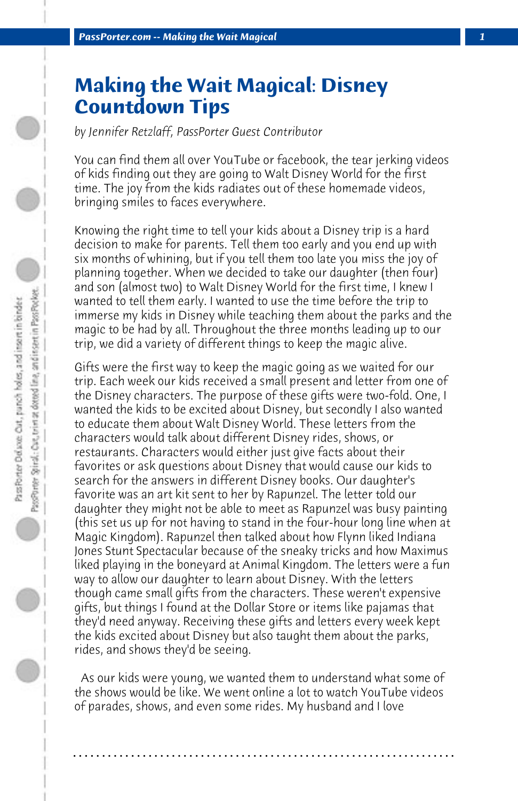## **Making the Wait Magical: Disney Countdown Tips**

*by Jennifer Retzlaff, PassPorter Guest Contributor*

You can find them all over YouTube or facebook, the tear jerking videos of kids finding out they are going to Walt Disney World for the first time. The joy from the kids radiates out of these homemade videos, bringing smiles to faces everywhere.

Knowing the right time to tell your kids about a Disney trip is a hard decision to make for parents. Tell them too early and you end up with six months of whining, but if you tell them too late you miss the joy of planning together. When we decided to take our daughter (then four) and son (almost two) to Walt Disney World for the first time, I knew I wanted to tell them early. I wanted to use the time before the trip to immerse my kids in Disney while teaching them about the parks and the magic to be had by all. Throughout the three months leading up to our trip, we did a variety of different things to keep the magic alive.

Gifts were the first way to keep the magic going as we waited for our trip. Each week our kids received a small present and letter from one of the Disney characters. The purpose of these gifts were two-fold. One, I wanted the kids to be excited about Disney, but secondly I also wanted to educate them about Walt Disney World. These letters from the characters would talk about different Disney rides, shows, or restaurants. Characters would either just give facts about their favorites or ask questions about Disney that would cause our kids to search for the answers in different Disney books. Our daughter's favorite was an art kit sent to her by Rapunzel. The letter told our daughter they might not be able to meet as Rapunzel was busy painting (this set us up for not having to stand in the four-hour long line when at Magic Kingdom). Rapunzel then talked about how Flynn liked Indiana Jones Stunt Spectacular because of the sneaky tricks and how Maximus liked playing in the boneyard at Animal Kingdom. The letters were a fun way to allow our daughter to learn about Disney. With the letters though came small gifts from the characters. These weren't expensive gifts, but things I found at the Dollar Store or items like pajamas that they'd need anyway. Receiving these gifts and letters every week kept the kids excited about Disney but also taught them about the parks, rides, and shows they'd be seeing.

 As our kids were young, we wanted them to understand what some of the shows would be like. We went online a lot to watch YouTube videos of parades, shows, and even some rides. My husband and I love

**. . . . . . . . . . . . . . . . . . . . . . . . . . . . . . . . . . . . . . . . . . . . . . . . . . . . . . . . . . . . . . . . . .**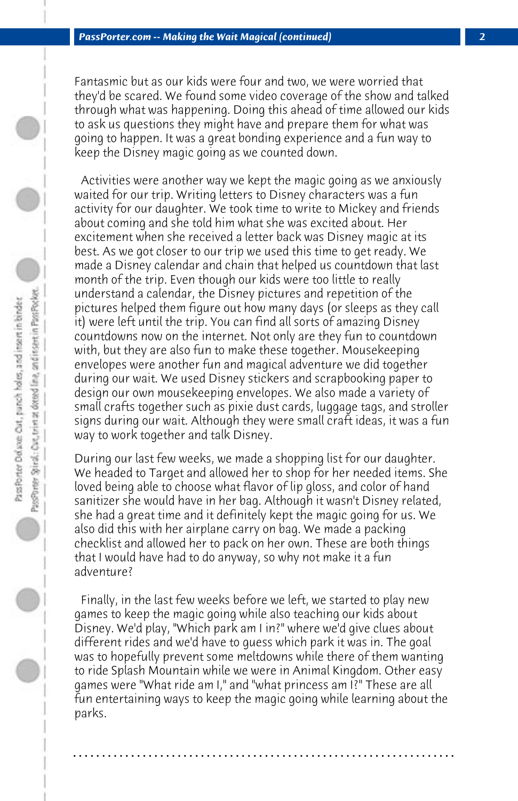Fantasmic but as our kids were four and two, we were worried that they'd be scared. We found some video coverage of the show and talked through what was happening. Doing this ahead of time allowed our kids to ask us questions they might have and prepare them for what was going to happen. It was a great bonding experience and a fun way to keep the Disney magic going as we counted down.

 Activities were another way we kept the magic going as we anxiously waited for our trip. Writing letters to Disney characters was a fun activity for our daughter. We took time to write to Mickey and friends about coming and she told him what she was excited about. Her excitement when she received a letter back was Disney magic at its best. As we got closer to our trip we used this time to get ready. We made a Disney calendar and chain that helped us countdown that last month of the trip. Even though our kids were too little to really understand a calendar, the Disney pictures and repetition of the pictures helped them figure out how many days (or sleeps as they call it) were left until the trip. You can find all sorts of amazing Disney countdowns now on the internet. Not only are they fun to countdown with, but they are also fun to make these together. Mousekeeping envelopes were another fun and magical adventure we did together during our wait. We used Disney stickers and scrapbooking paper to design our own mousekeeping envelopes. We also made a variety of small crafts together such as pixie dust cards, luggage tags, and stroller signs during our wait. Although they were small craft ideas, it was a fun way to work together and talk Disney.

During our last few weeks, we made a shopping list for our daughter. We headed to Target and allowed her to shop for her needed items. She loved being able to choose what flavor of lip gloss, and color of hand sanitizer she would have in her bag. Although it wasn't Disney related, she had a great time and it definitely kept the magic going for us. We also did this with her airplane carry on bag. We made a packing checklist and allowed her to pack on her own. These are both things that I would have had to do anyway, so why not make it a fun adventure?

 Finally, in the last few weeks before we left, we started to play new games to keep the magic going while also teaching our kids about Disney. We'd play, "Which park am I in?" where we'd give clues about different rides and we'd have to guess which park it was in. The goal was to hopefully prevent some meltdowns while there of them wanting to ride Splash Mountain while we were in Animal Kingdom. Other easy games were "What ride am I," and "what princess am I?" These are all fun entertaining ways to keep the magic going while learning about the parks.

**. . . . . . . . . . . . . . . . . . . . . . . . . . . . . . . . . . . . . . . . . . . . . . . . . . . . . . . . . . . . . . . . . .**